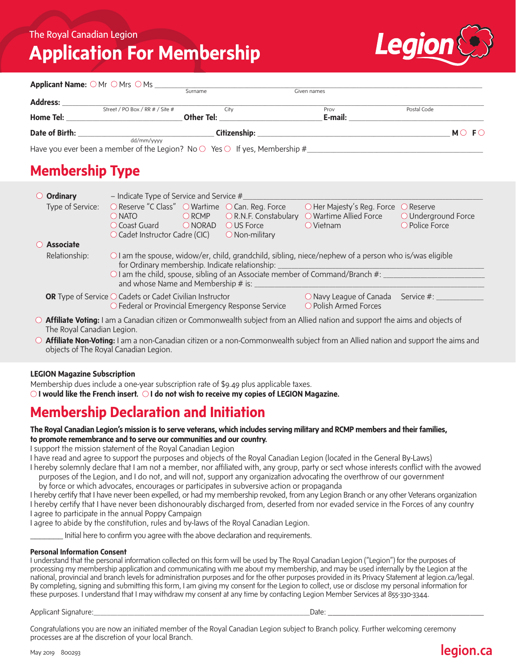# **Application For Membership**



|                | Applicant Name: ○ Mr ○ Mrs ○ Ms _                                                                    |              |             |                   |
|----------------|------------------------------------------------------------------------------------------------------|--------------|-------------|-------------------|
|                |                                                                                                      | Surname      | Given names |                   |
| Address:       |                                                                                                      |              |             |                   |
|                | Street / PO Box / RR # / Site #                                                                      | City         | Prov        | Postal Code       |
| Home Tel:      |                                                                                                      | Other Tel:   | E-mail:     |                   |
| Date of Birth: |                                                                                                      | Citizenship: |             | $MO$ F $\bigcirc$ |
|                | dd/mm/vvvv<br>Have you ever been a member of the Legion? No $\circ$ Yes $\circ$ If yes, Membership # |              |             |                   |

# **Membership Type**

| $\circ$ Ordinary           | - Indicate Type of Service and Service $#$                                                                                                                                                                                                                                                   |                                                                |                                                                                                        |                                                |  |  |
|----------------------------|----------------------------------------------------------------------------------------------------------------------------------------------------------------------------------------------------------------------------------------------------------------------------------------------|----------------------------------------------------------------|--------------------------------------------------------------------------------------------------------|------------------------------------------------|--|--|
| Type of Service:           | $\bigcirc$ Reserve "C Class" $\bigcirc$ Wartime $\bigcirc$ Can. Reg. Force<br>$\bigcirc$ RCMP<br>$\bigcirc$ NATO<br>ONORAD<br>O Coast Guard<br>$\circlearrowright$ Cadet Instructor Cadre (CIC)                                                                                              | O R.N.F. Constabulary<br>O US Force<br>$\bigcirc$ Non-military | $\bigcirc$ Her Majesty's Reg. Force $\bigcirc$ Reserve<br>O Wartime Allied Force<br>$\bigcirc$ Vietnam | $\bigcirc$ Underground Force<br>O Police Force |  |  |
| $\bigcirc$ Associate       |                                                                                                                                                                                                                                                                                              |                                                                |                                                                                                        |                                                |  |  |
| Relationship:              | $\circ$ I am the spouse, widow/er, child, grandchild, sibling, niece/nephew of a person who is/was eligible<br>for Ordinary membership. Indicate relationship:<br>$\circ$ I am the child, spouse, sibling of an Associate member of Command/Branch #:<br>and whose Name and Membership # is: |                                                                |                                                                                                        |                                                |  |  |
|                            | <b>OR</b> Type of Service $\bigcirc$ Cadets or Cadet Civilian Instructor<br>○ Federal or Provincial Emergency Response Service                                                                                                                                                               |                                                                | $\bigcirc$ Navy League of Canada Service #: $\frac{1}{2}$<br>O Polish Armed Forces                     |                                                |  |  |
| The Royal Canadian Legion. | ○ Affiliate Voting: I am a Canadian citizen or Commonwealth subject from an Allied nation and support the aims and objects of                                                                                                                                                                |                                                                |                                                                                                        |                                                |  |  |

**Affiliate Non-Voting:** I am a non-Canadian citizen or a non-Commonwealth subject from an Allied nation and support the aims and objects of The Royal Canadian Legion.

#### **LEGION Magazine Subscription**

Membership dues include a one-year subscription rate of \$9.49 plus applicable taxes.

*OI* **would like the French insert.** *OI* **do not wish to receive my copies of LEGION Magazine.** 

## **Membership Declaration and Initiation**

#### **The Royal Canadian Legion's mission is to serve veterans, which includes serving military and RCMP members and their families, to promote remembrance and to serve our communities and our country.**

I support the mission statement of the Royal Canadian Legion

I have read and agree to support the purposes and objects of the Royal Canadian Legion (located in the General By-Laws)

I hereby solemnly declare that I am not a member, nor affiliated with, any group, party or sect whose interests conflict with the avowed purposes of the Legion, and I do not, and will not, support any organization advocating the overthrow of our government

by force or which advocates, encourages or participates in subversive action or propaganda

I hereby certify that I have never been expelled, or had my membership revoked, from any Legion Branch or any other Veterans organization I hereby certify that I have never been dishonourably discharged from, deserted from nor evaded service in the Forces of any country I agree to participate in the annual Poppy Campaign

I agree to abide by the constitution, rules and by-laws of the Royal Canadian Legion.

Initial here to confirm you agree with the above declaration and requirements.

#### **Personal Information Consent**

I understand that the personal information collected on this form will be used by The Royal Canadian Legion ("Legion") for the purposes of processing my membership application and communicating with me about my membership, and may be used internally by the Legion at the national, provincial and branch levels for administration purposes and for the other purposes provided in its Privacy Statement at legion.ca/legal. By completing, signing and submitting this form, I am giving my consent for the Legion to collect, use or disclose my personal information for these purposes. I understand that I may withdraw my consent at any time by contacting Legion Member Services at 855-330-3344.

Applicant Signature:\_\_\_\_\_\_\_\_\_\_\_\_\_\_\_\_\_\_\_\_\_\_\_\_\_\_\_\_\_\_\_\_\_\_\_\_\_\_\_\_\_\_\_\_\_\_\_\_\_\_\_\_\_\_\_\_\_\_\_\_\_\_\_\_Date: \_\_\_\_\_\_\_\_\_\_\_\_\_\_\_\_\_\_\_\_\_\_\_\_\_\_\_\_\_\_\_\_\_\_

Congratulations you are now an initiated member of the Royal Canadian Legion subject to Branch policy. Further welcoming ceremony processes are at the discretion of your local Branch.